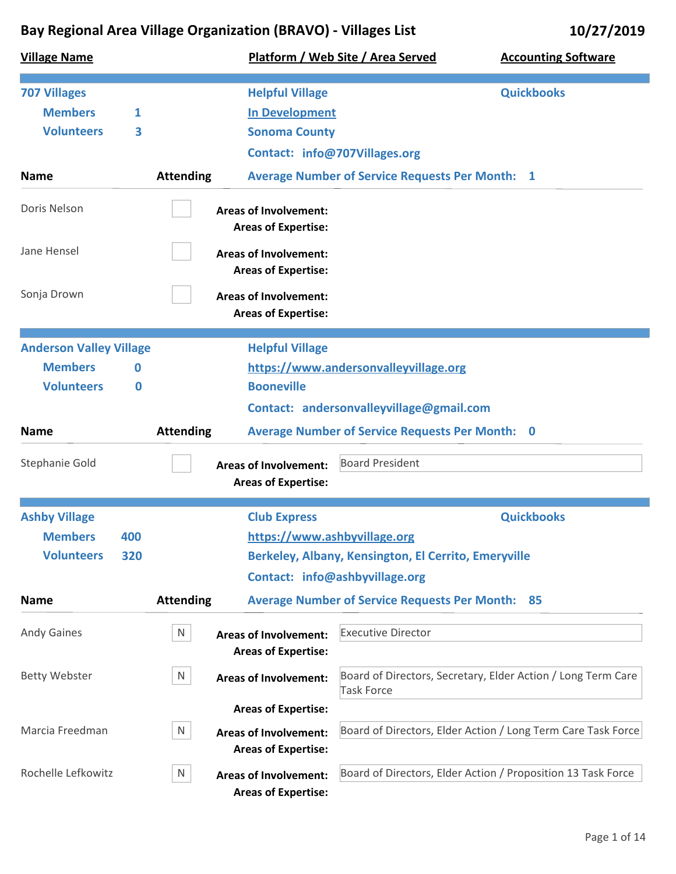| <b>Village Name</b>            |     |                  |                                                            | Platform / Web Site / Area Served                      | <b>Accounting Software</b>                                   |
|--------------------------------|-----|------------------|------------------------------------------------------------|--------------------------------------------------------|--------------------------------------------------------------|
| <b>707 Villages</b>            |     |                  | <b>Helpful Village</b>                                     |                                                        | <b>Quickbooks</b>                                            |
| <b>Members</b>                 | 1   |                  | <b>In Development</b>                                      |                                                        |                                                              |
| <b>Volunteers</b>              | 3   |                  | <b>Sonoma County</b>                                       |                                                        |                                                              |
|                                |     |                  | Contact: info@707Villages.org                              |                                                        |                                                              |
| <b>Name</b>                    |     | <b>Attending</b> |                                                            | <b>Average Number of Service Requests Per Month: 1</b> |                                                              |
| Doris Nelson                   |     |                  | <b>Areas of Involvement:</b><br><b>Areas of Expertise:</b> |                                                        |                                                              |
| Jane Hensel                    |     |                  | <b>Areas of Involvement:</b><br><b>Areas of Expertise:</b> |                                                        |                                                              |
| Sonja Drown                    |     |                  | <b>Areas of Involvement:</b><br><b>Areas of Expertise:</b> |                                                        |                                                              |
| <b>Anderson Valley Village</b> |     |                  | <b>Helpful Village</b>                                     |                                                        |                                                              |
| <b>Members</b>                 | 0   |                  |                                                            | https://www.andersonvalleyvillage.org                  |                                                              |
| <b>Volunteers</b>              | 0   |                  | <b>Booneville</b>                                          |                                                        |                                                              |
|                                |     |                  |                                                            | Contact: andersonvalleyvillage@gmail.com               |                                                              |
| <b>Name</b>                    |     | <b>Attending</b> |                                                            | <b>Average Number of Service Requests Per Month: 0</b> |                                                              |
| Stephanie Gold                 |     |                  | <b>Areas of Involvement:</b><br><b>Areas of Expertise:</b> | <b>Board President</b>                                 |                                                              |
| <b>Ashby Village</b>           |     |                  | <b>Club Express</b>                                        |                                                        | <b>Quickbooks</b>                                            |
| <b>Members</b>                 | 400 |                  | https://www.ashbyvillage.org                               |                                                        |                                                              |
| <b>Volunteers</b>              | 320 |                  |                                                            | Berkeley, Albany, Kensington, El Cerrito, Emeryville   |                                                              |
|                                |     |                  |                                                            | Contact: info@ashbyvillage.org                         |                                                              |
| <b>Name</b>                    |     | <b>Attending</b> |                                                            | <b>Average Number of Service Requests Per Month:</b>   | -85                                                          |
| <b>Andy Gaines</b>             |     | N                | <b>Areas of Involvement:</b><br><b>Areas of Expertise:</b> | <b>Executive Director</b>                              |                                                              |
| <b>Betty Webster</b>           |     | N                | <b>Areas of Involvement:</b>                               | <b>Task Force</b>                                      | Board of Directors, Secretary, Elder Action / Long Term Care |
|                                |     |                  | <b>Areas of Expertise:</b>                                 |                                                        |                                                              |
| Marcia Freedman                |     | N                | <b>Areas of Involvement:</b>                               |                                                        | Board of Directors, Elder Action / Long Term Care Task Force |
|                                |     |                  | <b>Areas of Expertise:</b>                                 |                                                        |                                                              |
| Rochelle Lefkowitz             |     | N                | <b>Areas of Involvement:</b><br><b>Areas of Expertise:</b> |                                                        | Board of Directors, Elder Action / Proposition 13 Task Force |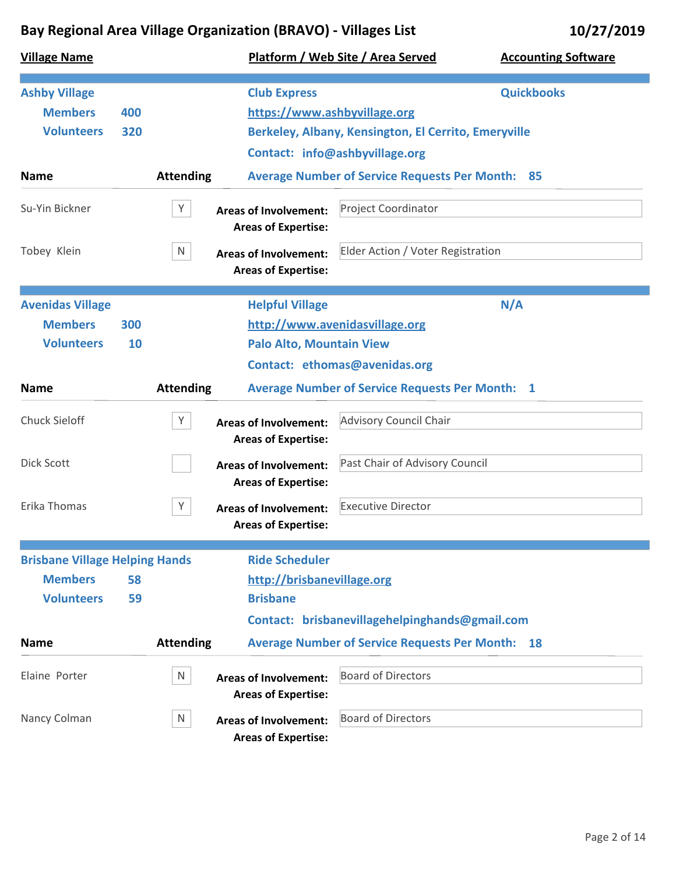| <b>Village Name</b>                                         |            |                  |                                                                                          | Platform / Web Site / Area Served                                                      | <b>Accounting Software</b> |
|-------------------------------------------------------------|------------|------------------|------------------------------------------------------------------------------------------|----------------------------------------------------------------------------------------|----------------------------|
| <b>Ashby Village</b><br><b>Members</b><br><b>Volunteers</b> | 400<br>320 |                  | <b>Club Express</b><br>https://www.ashbyvillage.org                                      | Berkeley, Albany, Kensington, El Cerrito, Emeryville<br>Contact: info@ashbyvillage.org | <b>Quickbooks</b>          |
| <b>Name</b>                                                 |            | <b>Attending</b> |                                                                                          | <b>Average Number of Service Requests Per Month: 85</b>                                |                            |
| Su-Yin Bickner                                              |            | Y                | <b>Areas of Involvement:</b><br><b>Areas of Expertise:</b>                               | <b>Project Coordinator</b>                                                             |                            |
| Tobey Klein                                                 |            | N                | <b>Areas of Involvement:</b><br><b>Areas of Expertise:</b>                               | Elder Action / Voter Registration                                                      |                            |
| <b>Avenidas Village</b>                                     |            |                  | <b>Helpful Village</b>                                                                   |                                                                                        | N/A                        |
| <b>Members</b>                                              | 300        |                  |                                                                                          | http://www.avenidasvillage.org                                                         |                            |
| <b>Volunteers</b>                                           | 10         |                  | <b>Palo Alto, Mountain View</b>                                                          |                                                                                        |                            |
|                                                             |            |                  |                                                                                          | Contact: ethomas@avenidas.org                                                          |                            |
| <b>Name</b>                                                 |            | <b>Attending</b> |                                                                                          | <b>Average Number of Service Requests Per Month: 1</b>                                 |                            |
| <b>Chuck Sieloff</b>                                        |            | Y                | <b>Areas of Involvement:</b><br><b>Areas of Expertise:</b>                               | <b>Advisory Council Chair</b>                                                          |                            |
| Dick Scott                                                  |            |                  | <b>Areas of Involvement:</b>                                                             | Past Chair of Advisory Council                                                         |                            |
| Erika Thomas                                                |            | Y                | <b>Areas of Expertise:</b><br><b>Areas of Involvement:</b><br><b>Areas of Expertise:</b> | <b>Executive Director</b>                                                              |                            |
| <b>Brisbane Village Helping Hands</b>                       |            |                  | <b>Ride Scheduler</b>                                                                    |                                                                                        |                            |
| <b>Members</b>                                              | 58         |                  | http://brisbanevillage.org                                                               |                                                                                        |                            |
| <b>Volunteers</b>                                           | 59         |                  | <b>Brisbane</b>                                                                          |                                                                                        |                            |
|                                                             |            |                  |                                                                                          | Contact: brisbanevillagehelpinghands@gmail.com                                         |                            |
| <b>Name</b>                                                 |            | <b>Attending</b> |                                                                                          | <b>Average Number of Service Requests Per Month:</b>                                   | 18                         |
| Elaine Porter                                               |            | N                | <b>Areas of Involvement:</b><br><b>Areas of Expertise:</b>                               | <b>Board of Directors</b>                                                              |                            |
| Nancy Colman                                                |            | N                | <b>Areas of Involvement:</b><br><b>Areas of Expertise:</b>                               | <b>Board of Directors</b>                                                              |                            |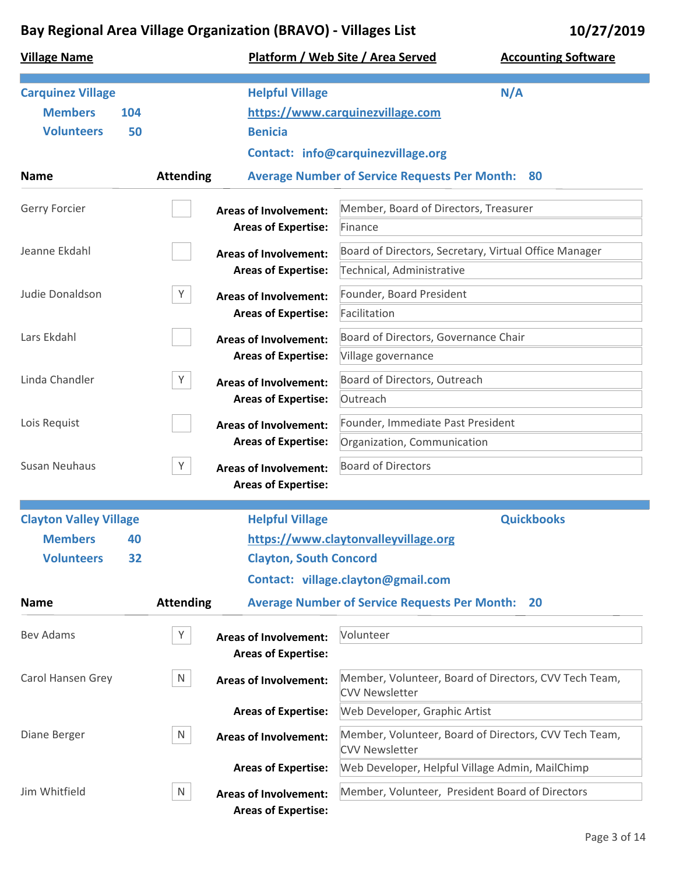| <b>Village Name</b>                                                                         |                                                                 | Platform / Web Site / Area Served<br><b>Accounting Software</b>                                                                             |
|---------------------------------------------------------------------------------------------|-----------------------------------------------------------------|---------------------------------------------------------------------------------------------------------------------------------------------|
| <b>Carquinez Village</b><br><b>Members</b><br>104<br><b>Volunteers</b><br>50<br><b>Name</b> | <b>Helpful Village</b><br><b>Benicia</b><br><b>Attending</b>    | N/A<br>https://www.carquinezvillage.com<br>Contact: info@carquinezvillage.org<br><b>Average Number of Service Requests Per Month:</b><br>80 |
|                                                                                             |                                                                 |                                                                                                                                             |
| Gerry Forcier                                                                               | <b>Areas of Involvement:</b><br><b>Areas of Expertise:</b>      | Member, Board of Directors, Treasurer<br>Finance                                                                                            |
| Jeanne Ekdahl                                                                               | <b>Areas of Involvement:</b><br><b>Areas of Expertise:</b>      | Board of Directors, Secretary, Virtual Office Manager<br>Technical, Administrative                                                          |
| Judie Donaldson                                                                             | Y<br><b>Areas of Involvement:</b>                               | Founder, Board President                                                                                                                    |
|                                                                                             | <b>Areas of Expertise:</b>                                      | Facilitation                                                                                                                                |
| Lars Ekdahl                                                                                 | <b>Areas of Involvement:</b>                                    | Board of Directors, Governance Chair                                                                                                        |
|                                                                                             | <b>Areas of Expertise:</b>                                      | Village governance                                                                                                                          |
| Linda Chandler                                                                              | Y<br><b>Areas of Involvement:</b>                               | Board of Directors, Outreach                                                                                                                |
|                                                                                             | <b>Areas of Expertise:</b>                                      | Outreach                                                                                                                                    |
| Lois Requist                                                                                | <b>Areas of Involvement:</b>                                    | Founder, Immediate Past President                                                                                                           |
|                                                                                             | <b>Areas of Expertise:</b>                                      | Organization, Communication                                                                                                                 |
| <b>Susan Neuhaus</b>                                                                        | Y<br><b>Areas of Involvement:</b><br><b>Areas of Expertise:</b> | <b>Board of Directors</b>                                                                                                                   |
| <b>Clayton Valley Village</b>                                                               | <b>Helpful Village</b>                                          | <b>Quickbooks</b>                                                                                                                           |
| <b>Members</b><br>40                                                                        |                                                                 | https://www.claytonvalleyvillage.org                                                                                                        |
| <b>Volunteers</b><br>32                                                                     | <b>Clayton, South Concord</b>                                   |                                                                                                                                             |
|                                                                                             |                                                                 | Contact: village.clayton@gmail.com                                                                                                          |
| <b>Name</b>                                                                                 | <b>Attending</b>                                                | <b>Average Number of Service Requests Per Month:</b><br><b>20</b>                                                                           |
| <b>Bev Adams</b>                                                                            | Y<br><b>Areas of Involvement:</b><br><b>Areas of Expertise:</b> | Volunteer                                                                                                                                   |
| Carol Hansen Grey                                                                           | N<br><b>Areas of Involvement:</b>                               | Member, Volunteer, Board of Directors, CVV Tech Team,<br><b>CVV Newsletter</b>                                                              |
|                                                                                             | <b>Areas of Expertise:</b>                                      | Web Developer, Graphic Artist                                                                                                               |
| Diane Berger                                                                                | N<br><b>Areas of Involvement:</b>                               | Member, Volunteer, Board of Directors, CVV Tech Team,<br><b>CVV Newsletter</b>                                                              |
|                                                                                             | <b>Areas of Expertise:</b>                                      | Web Developer, Helpful Village Admin, MailChimp                                                                                             |
| Jim Whitfield                                                                               | N<br><b>Areas of Involvement:</b><br><b>Areas of Expertise:</b> | Member, Volunteer, President Board of Directors                                                                                             |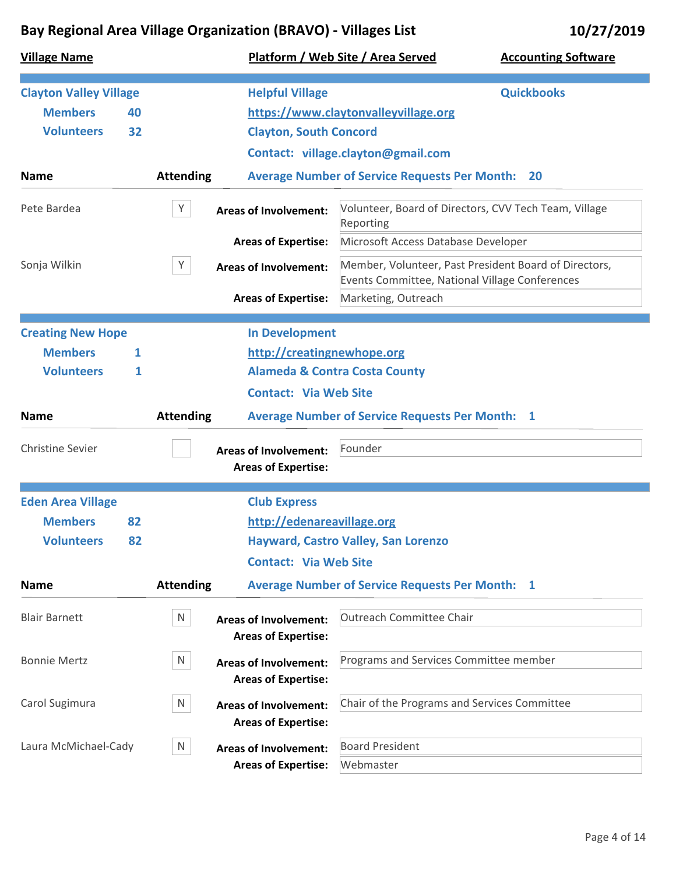| <b>Village Name</b>           |    |                  |                               | Platform / Web Site / Area Served                       | <b>Accounting Software</b>                            |
|-------------------------------|----|------------------|-------------------------------|---------------------------------------------------------|-------------------------------------------------------|
| <b>Clayton Valley Village</b> |    |                  | <b>Helpful Village</b>        |                                                         | <b>Quickbooks</b>                                     |
| <b>Members</b>                | 40 |                  |                               | https://www.claytonvalleyvillage.org                    |                                                       |
| <b>Volunteers</b>             | 32 |                  | <b>Clayton, South Concord</b> |                                                         |                                                       |
|                               |    |                  |                               | Contact: village.clayton@gmail.com                      |                                                       |
| <b>Name</b>                   |    | <b>Attending</b> |                               | <b>Average Number of Service Requests Per Month: 20</b> |                                                       |
|                               |    |                  |                               |                                                         |                                                       |
| Pete Bardea                   |    | Y                | <b>Areas of Involvement:</b>  | Reporting                                               | Volunteer, Board of Directors, CVV Tech Team, Village |
|                               |    |                  | <b>Areas of Expertise:</b>    | Microsoft Access Database Developer                     |                                                       |
| Sonja Wilkin                  |    | Y                | <b>Areas of Involvement:</b>  | Events Committee, National Village Conferences          | Member, Volunteer, Past President Board of Directors, |
|                               |    |                  | <b>Areas of Expertise:</b>    | Marketing, Outreach                                     |                                                       |
|                               |    |                  |                               |                                                         |                                                       |
| <b>Creating New Hope</b>      |    |                  | <b>In Development</b>         |                                                         |                                                       |
| <b>Members</b>                | 1  |                  | http://creatingnewhope.org    |                                                         |                                                       |
| <b>Volunteers</b>             | 1  |                  |                               | <b>Alameda &amp; Contra Costa County</b>                |                                                       |
|                               |    |                  | <b>Contact: Via Web Site</b>  |                                                         |                                                       |
| <b>Name</b>                   |    | <b>Attending</b> |                               | <b>Average Number of Service Requests Per Month: 1</b>  |                                                       |
| <b>Christine Sevier</b>       |    |                  | <b>Areas of Involvement:</b>  | Founder                                                 |                                                       |
|                               |    |                  | <b>Areas of Expertise:</b>    |                                                         |                                                       |
|                               |    |                  |                               |                                                         |                                                       |
| <b>Eden Area Village</b>      |    |                  | <b>Club Express</b>           |                                                         |                                                       |
| <b>Members</b>                | 82 |                  | http://edenareavillage.org    |                                                         |                                                       |
| <b>Volunteers</b>             | 82 |                  |                               | Hayward, Castro Valley, San Lorenzo                     |                                                       |
|                               |    |                  | <b>Contact: Via Web Site</b>  |                                                         |                                                       |
| <b>Name</b>                   |    | <b>Attending</b> |                               | <b>Average Number of Service Requests Per Month: 1</b>  |                                                       |
| <b>Blair Barnett</b>          |    | N                | <b>Areas of Involvement:</b>  | <b>Outreach Committee Chair</b>                         |                                                       |
|                               |    |                  | <b>Areas of Expertise:</b>    |                                                         |                                                       |
| <b>Bonnie Mertz</b>           |    | N                | <b>Areas of Involvement:</b>  | Programs and Services Committee member                  |                                                       |
|                               |    |                  | <b>Areas of Expertise:</b>    |                                                         |                                                       |
| Carol Sugimura                |    | N                | <b>Areas of Involvement:</b>  | Chair of the Programs and Services Committee            |                                                       |
|                               |    |                  | <b>Areas of Expertise:</b>    |                                                         |                                                       |
| Laura McMichael-Cady          |    | N                | <b>Areas of Involvement:</b>  | <b>Board President</b>                                  |                                                       |
|                               |    |                  | <b>Areas of Expertise:</b>    | Webmaster                                               |                                                       |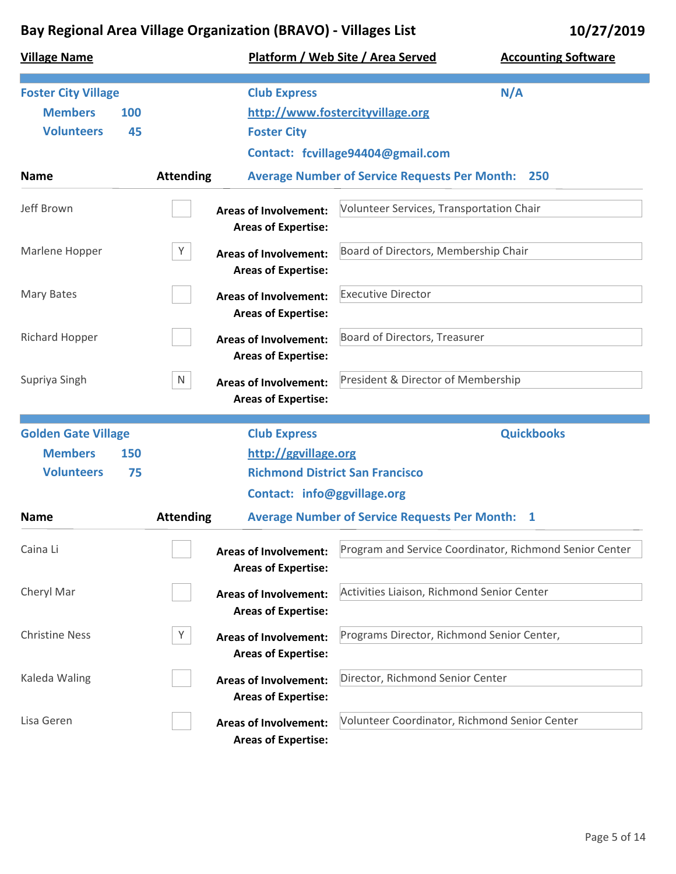| <b>Village Name</b>                                                            |                  |                                                            | Platform / Web Site / Area Served                                     | <b>Accounting Software</b>                              |
|--------------------------------------------------------------------------------|------------------|------------------------------------------------------------|-----------------------------------------------------------------------|---------------------------------------------------------|
| <b>Foster City Village</b><br><b>Members</b><br>100<br><b>Volunteers</b><br>45 |                  | <b>Club Express</b><br><b>Foster City</b>                  | http://www.fostercityvillage.org<br>Contact: fcvillage94404@gmail.com | N/A                                                     |
| <b>Name</b>                                                                    | <b>Attending</b> |                                                            | <b>Average Number of Service Requests Per Month:</b>                  | 250                                                     |
| Jeff Brown                                                                     |                  | <b>Areas of Involvement:</b><br><b>Areas of Expertise:</b> | Volunteer Services, Transportation Chair                              |                                                         |
| Marlene Hopper                                                                 | Y                | <b>Areas of Involvement:</b><br><b>Areas of Expertise:</b> | Board of Directors, Membership Chair                                  |                                                         |
| Mary Bates                                                                     |                  | <b>Areas of Involvement:</b><br><b>Areas of Expertise:</b> | <b>Executive Director</b>                                             |                                                         |
| <b>Richard Hopper</b>                                                          |                  | <b>Areas of Involvement:</b><br><b>Areas of Expertise:</b> | Board of Directors, Treasurer                                         |                                                         |
| Supriya Singh                                                                  | N                | <b>Areas of Involvement:</b><br><b>Areas of Expertise:</b> | President & Director of Membership                                    |                                                         |
| <b>Golden Gate Village</b><br><b>Members</b><br>150<br><b>Volunteers</b><br>75 |                  | <b>Club Express</b><br>http://ggvillage.org                | <b>Richmond District San Francisco</b>                                | <b>Quickbooks</b>                                       |
| <b>Name</b>                                                                    | <b>Attending</b> | Contact: info@ggvillage.org                                | <b>Average Number of Service Requests Per Month: 1</b>                |                                                         |
| Caina Li                                                                       |                  | <b>Areas of Involvement:</b><br><b>Areas of Expertise:</b> |                                                                       | Program and Service Coordinator, Richmond Senior Center |
| Cheryl Mar                                                                     |                  | <b>Areas of Involvement:</b><br><b>Areas of Expertise:</b> | Activities Liaison, Richmond Senior Center                            |                                                         |
| <b>Christine Ness</b>                                                          | Y                | <b>Areas of Involvement:</b><br><b>Areas of Expertise:</b> | Programs Director, Richmond Senior Center,                            |                                                         |
| Kaleda Waling                                                                  |                  | <b>Areas of Involvement:</b><br><b>Areas of Expertise:</b> | Director, Richmond Senior Center                                      |                                                         |
| Lisa Geren                                                                     |                  | <b>Areas of Involvement:</b><br><b>Areas of Expertise:</b> | Volunteer Coordinator, Richmond Senior Center                         |                                                         |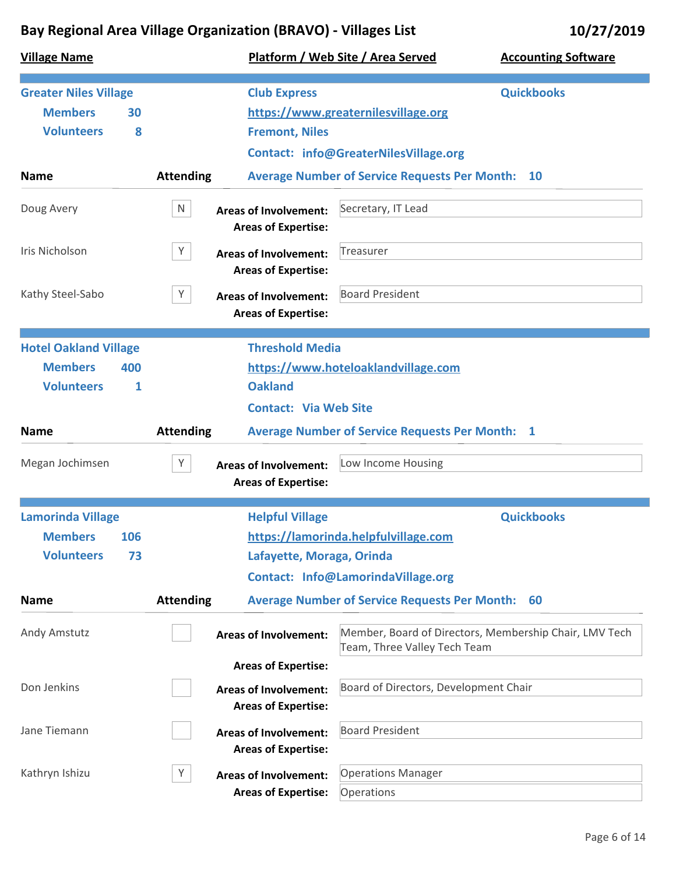| <b>Village Name</b>                                                             |                  |                                                                                          | Platform / Web Site / Area Served                                            | <b>Accounting Software</b>                             |
|---------------------------------------------------------------------------------|------------------|------------------------------------------------------------------------------------------|------------------------------------------------------------------------------|--------------------------------------------------------|
| <b>Greater Niles Village</b><br><b>Members</b><br>30<br><b>Volunteers</b><br>8  |                  | <b>Club Express</b><br><b>Fremont, Niles</b>                                             | https://www.greaternilesvillage.org<br>Contact: info@GreaterNilesVillage.org | <b>Quickbooks</b>                                      |
| <b>Name</b>                                                                     | <b>Attending</b> |                                                                                          | <b>Average Number of Service Requests Per Month: 10</b>                      |                                                        |
| Doug Avery                                                                      | N                | <b>Areas of Involvement:</b><br><b>Areas of Expertise:</b>                               | Secretary, IT Lead                                                           |                                                        |
| Iris Nicholson                                                                  | Y                | <b>Areas of Involvement:</b><br><b>Areas of Expertise:</b>                               | Treasurer                                                                    |                                                        |
| Kathy Steel-Sabo                                                                | Y                | <b>Areas of Involvement:</b><br><b>Areas of Expertise:</b>                               | <b>Board President</b>                                                       |                                                        |
| <b>Hotel Oakland Village</b><br><b>Members</b><br>400<br><b>Volunteers</b><br>1 |                  | <b>Threshold Media</b><br><b>Oakland</b><br><b>Contact: Via Web Site</b>                 | https://www.hoteloaklandvillage.com                                          |                                                        |
| <b>Name</b>                                                                     | <b>Attending</b> |                                                                                          | <b>Average Number of Service Requests Per Month: 1</b>                       |                                                        |
| Megan Jochimsen                                                                 | Y                | <b>Areas of Involvement:</b><br><b>Areas of Expertise:</b>                               | Low Income Housing                                                           |                                                        |
| <b>Lamorinda Village</b><br><b>Members</b><br>106<br><b>Volunteers</b><br>73    |                  | <b>Helpful Village</b><br>Lafayette, Moraga, Orinda                                      | https://lamorinda.helpfulvillage.com<br>Contact: Info@LamorindaVillage.org   | <b>Quickbooks</b>                                      |
| <b>Name</b>                                                                     | <b>Attending</b> |                                                                                          | <b>Average Number of Service Requests Per Month:</b>                         | -60                                                    |
| Andy Amstutz                                                                    |                  | <b>Areas of Involvement:</b>                                                             | Team, Three Valley Tech Team                                                 | Member, Board of Directors, Membership Chair, LMV Tech |
| Don Jenkins                                                                     |                  | <b>Areas of Expertise:</b><br><b>Areas of Involvement:</b><br><b>Areas of Expertise:</b> | Board of Directors, Development Chair                                        |                                                        |
| Jane Tiemann                                                                    |                  | <b>Areas of Involvement:</b><br><b>Areas of Expertise:</b>                               | <b>Board President</b>                                                       |                                                        |
| Kathryn Ishizu                                                                  | Y                | <b>Areas of Involvement:</b><br><b>Areas of Expertise:</b>                               | <b>Operations Manager</b><br>Operations                                      |                                                        |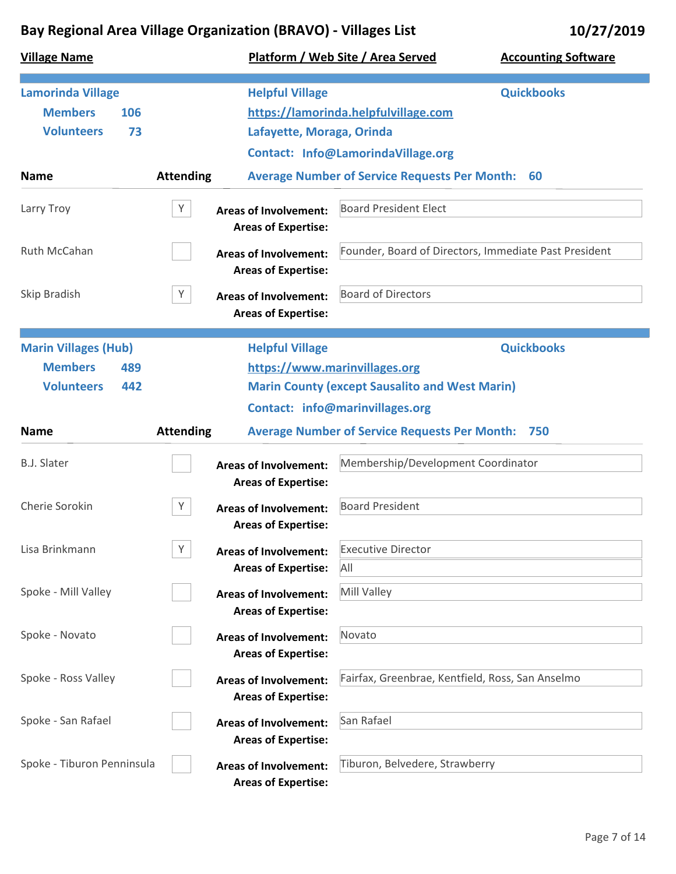| <b>Village Name</b>                                                              |                  |                                                            | Platform / Web Site / Area Served                                                        | <b>Accounting Software</b>                            |
|----------------------------------------------------------------------------------|------------------|------------------------------------------------------------|------------------------------------------------------------------------------------------|-------------------------------------------------------|
| <b>Lamorinda Village</b><br><b>Members</b><br>106<br><b>Volunteers</b><br>73     |                  | <b>Helpful Village</b><br>Lafayette, Moraga, Orinda        | https://lamorinda.helpfulvillage.com<br>Contact: Info@LamorindaVillage.org               | <b>Quickbooks</b>                                     |
| <b>Name</b>                                                                      | <b>Attending</b> |                                                            | <b>Average Number of Service Requests Per Month:</b>                                     | 60                                                    |
| Larry Troy                                                                       | Y                | <b>Areas of Involvement:</b><br><b>Areas of Expertise:</b> | <b>Board President Elect</b>                                                             |                                                       |
| Ruth McCahan                                                                     |                  | <b>Areas of Involvement:</b><br><b>Areas of Expertise:</b> |                                                                                          | Founder, Board of Directors, Immediate Past President |
| Skip Bradish                                                                     | Y                | <b>Areas of Involvement:</b><br><b>Areas of Expertise:</b> | <b>Board of Directors</b>                                                                |                                                       |
| <b>Marin Villages (Hub)</b><br><b>Members</b><br>489<br><b>Volunteers</b><br>442 |                  | <b>Helpful Village</b><br>https://www.marinvillages.org    | <b>Marin County (except Sausalito and West Marin)</b><br>Contact: info@marinvillages.org | <b>Quickbooks</b>                                     |
| <b>Name</b>                                                                      | <b>Attending</b> |                                                            | <b>Average Number of Service Requests Per Month: 750</b>                                 |                                                       |
| <b>B.J. Slater</b>                                                               |                  | <b>Areas of Involvement:</b><br><b>Areas of Expertise:</b> | Membership/Development Coordinator                                                       |                                                       |
| Cherie Sorokin                                                                   | Υ                | <b>Areas of Involvement:</b><br><b>Areas of Expertise:</b> | <b>Board President</b>                                                                   |                                                       |
| Lisa Brinkmann                                                                   | Y                | <b>Areas of Involvement:</b><br><b>Areas of Expertise:</b> | <b>Executive Director</b><br>All                                                         |                                                       |
| Spoke - Mill Valley                                                              |                  | <b>Areas of Involvement:</b><br><b>Areas of Expertise:</b> | Mill Valley                                                                              |                                                       |
| Spoke - Novato                                                                   |                  | <b>Areas of Involvement:</b><br><b>Areas of Expertise:</b> | Novato                                                                                   |                                                       |
| Spoke - Ross Valley                                                              |                  | <b>Areas of Involvement:</b><br><b>Areas of Expertise:</b> | Fairfax, Greenbrae, Kentfield, Ross, San Anselmo                                         |                                                       |
| Spoke - San Rafael                                                               |                  | <b>Areas of Involvement:</b><br><b>Areas of Expertise:</b> | San Rafael                                                                               |                                                       |
| Spoke - Tiburon Penninsula                                                       |                  | <b>Areas of Involvement:</b><br><b>Areas of Expertise:</b> | Tiburon, Belvedere, Strawberry                                                           |                                                       |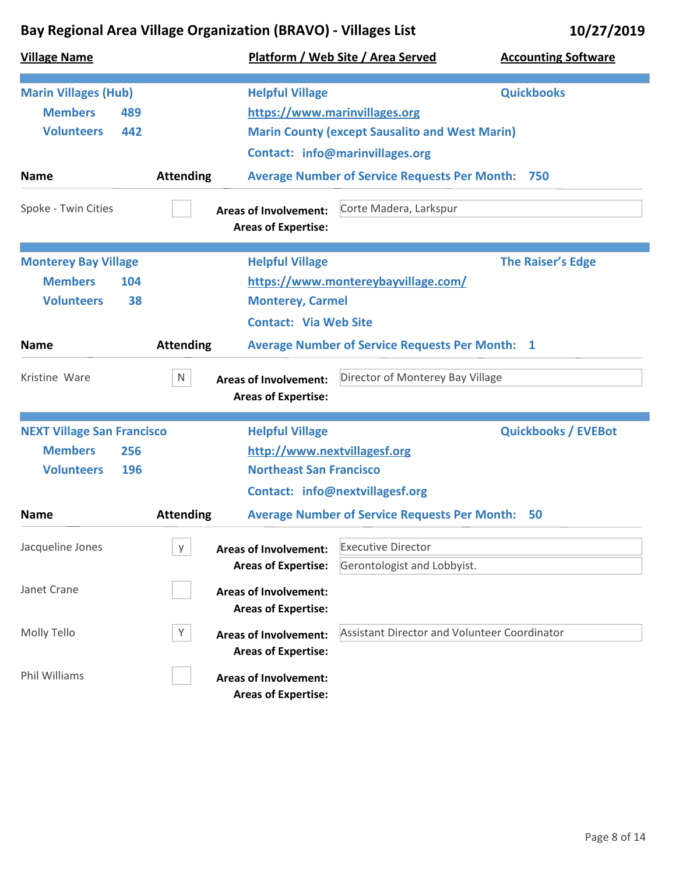| <b>Village Name</b>               |                  |                                                            | Platform / Web Site / Area Served                      | <b>Accounting Software</b> |
|-----------------------------------|------------------|------------------------------------------------------------|--------------------------------------------------------|----------------------------|
| <b>Marin Villages (Hub)</b>       |                  | <b>Helpful Village</b>                                     |                                                        | <b>Quickbooks</b>          |
| <b>Members</b><br>489             |                  | https://www.marinvillages.org                              |                                                        |                            |
| <b>Volunteers</b><br>442          |                  | <b>Marin County (except Sausalito and West Marin)</b>      |                                                        |                            |
|                                   |                  |                                                            | Contact: info@marinvillages.org                        |                            |
| <b>Name</b>                       | <b>Attending</b> |                                                            | <b>Average Number of Service Requests Per Month:</b>   | 750                        |
| Spoke - Twin Cities               |                  | <b>Areas of Involvement:</b><br><b>Areas of Expertise:</b> | Corte Madera, Larkspur                                 |                            |
| <b>Monterey Bay Village</b>       |                  | <b>Helpful Village</b>                                     |                                                        | <b>The Raiser's Edge</b>   |
| <b>Members</b><br>104             |                  |                                                            | https://www.montereybayvillage.com/                    |                            |
| <b>Volunteers</b><br>38           |                  | <b>Monterey, Carmel</b>                                    |                                                        |                            |
|                                   |                  | <b>Contact: Via Web Site</b>                               |                                                        |                            |
| <b>Name</b>                       | <b>Attending</b> |                                                            | <b>Average Number of Service Requests Per Month: 1</b> |                            |
| Kristine Ware                     | N                | <b>Areas of Involvement:</b><br><b>Areas of Expertise:</b> | Director of Monterey Bay Village                       |                            |
|                                   |                  |                                                            |                                                        |                            |
| <b>NEXT Village San Francisco</b> |                  | <b>Helpful Village</b>                                     |                                                        | <b>Quickbooks / EVEBot</b> |
| <b>Members</b><br>256             |                  | http://www.nextvillagesf.org                               |                                                        |                            |
| <b>Volunteers</b><br>196          |                  | <b>Northeast San Francisco</b>                             |                                                        |                            |
|                                   |                  |                                                            | <b>Contact: info@nextvillagesf.org</b>                 |                            |
| <b>Name</b>                       | <b>Attending</b> |                                                            | <b>Average Number of Service Requests Per Month:</b>   | 50                         |
| Jacqueline Jones                  | y.               | <b>Areas of Involvement:</b>                               | <b>Executive Director</b>                              |                            |
|                                   |                  | <b>Areas of Expertise:</b>                                 | Gerontologist and Lobbyist.                            |                            |
| Janet Crane                       |                  | <b>Areas of Involvement:</b>                               |                                                        |                            |
|                                   |                  | <b>Areas of Expertise:</b>                                 |                                                        |                            |
| Molly Tello                       | Y                | <b>Areas of Involvement:</b>                               | <b>Assistant Director and Volunteer Coordinator</b>    |                            |
|                                   |                  |                                                            |                                                        |                            |
|                                   |                  |                                                            |                                                        |                            |
| Phil Williams                     |                  | <b>Areas of Expertise:</b><br><b>Areas of Involvement:</b> |                                                        |                            |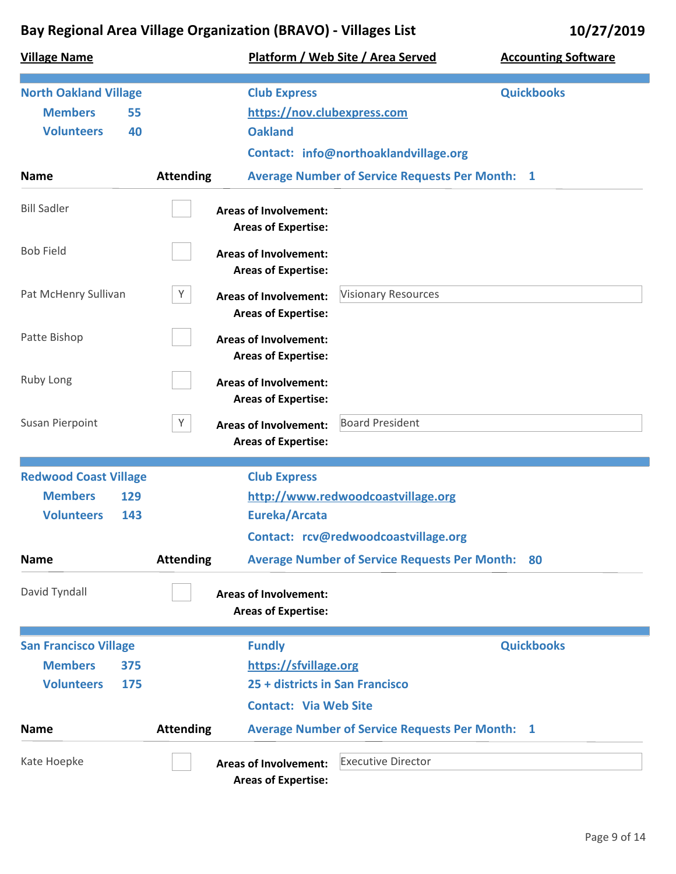| <b>Village Name</b>                                                               |                                 |                                                                      | Platform / Web Site / Area Served                                          | <b>Accounting Software</b> |
|-----------------------------------------------------------------------------------|---------------------------------|----------------------------------------------------------------------|----------------------------------------------------------------------------|----------------------------|
| <b>North Oakland Village</b><br><b>Members</b><br>55<br><b>Volunteers</b><br>40   |                                 | <b>Club Express</b><br>https://nov.clubexpress.com<br><b>Oakland</b> | Contact: info@northoaklandvillage.org                                      | <b>Quickbooks</b>          |
| <b>Name</b>                                                                       | <b>Attending</b>                |                                                                      | <b>Average Number of Service Requests Per Month: 1</b>                     |                            |
| <b>Bill Sadler</b>                                                                |                                 | <b>Areas of Involvement:</b><br><b>Areas of Expertise:</b>           |                                                                            |                            |
| <b>Bob Field</b>                                                                  |                                 | <b>Areas of Involvement:</b><br><b>Areas of Expertise:</b>           |                                                                            |                            |
| Pat McHenry Sullivan                                                              | Y                               | <b>Areas of Involvement:</b><br><b>Areas of Expertise:</b>           | <b>Visionary Resources</b>                                                 |                            |
| Patte Bishop                                                                      |                                 | <b>Areas of Involvement:</b><br><b>Areas of Expertise:</b>           |                                                                            |                            |
| Ruby Long                                                                         |                                 | <b>Areas of Involvement:</b><br><b>Areas of Expertise:</b>           |                                                                            |                            |
| Susan Pierpoint                                                                   | Y                               | <b>Areas of Involvement:</b><br><b>Areas of Expertise:</b>           | <b>Board President</b>                                                     |                            |
| <b>Redwood Coast Village</b><br><b>Members</b><br>129<br><b>Volunteers</b><br>143 |                                 | <b>Club Express</b><br>Eureka/Arcata                                 | http://www.redwoodcoastvillage.org<br>Contact: rcv@redwoodcoastvillage.org |                            |
| <b>Name</b>                                                                       | <b>Attending</b>                |                                                                      | <b>Average Number of Service Requests Per Month: 80</b>                    |                            |
| David Tyndall                                                                     |                                 | <b>Areas of Involvement:</b><br><b>Areas of Expertise:</b>           |                                                                            |                            |
| <b>San Francisco Village</b>                                                      |                                 | <b>Fundly</b>                                                        |                                                                            | <b>Quickbooks</b>          |
| <b>Members</b><br>375                                                             |                                 | https://sfvillage.org                                                |                                                                            |                            |
| <b>Volunteers</b><br>175                                                          | 25 + districts in San Francisco |                                                                      |                                                                            |                            |
|                                                                                   | <b>Contact: Via Web Site</b>    |                                                                      |                                                                            |                            |
| <b>Name</b>                                                                       | <b>Attending</b>                |                                                                      | <b>Average Number of Service Requests Per Month: 1</b>                     |                            |
| Kate Hoepke                                                                       |                                 | <b>Areas of Involvement:</b><br><b>Areas of Expertise:</b>           | <b>Executive Director</b>                                                  |                            |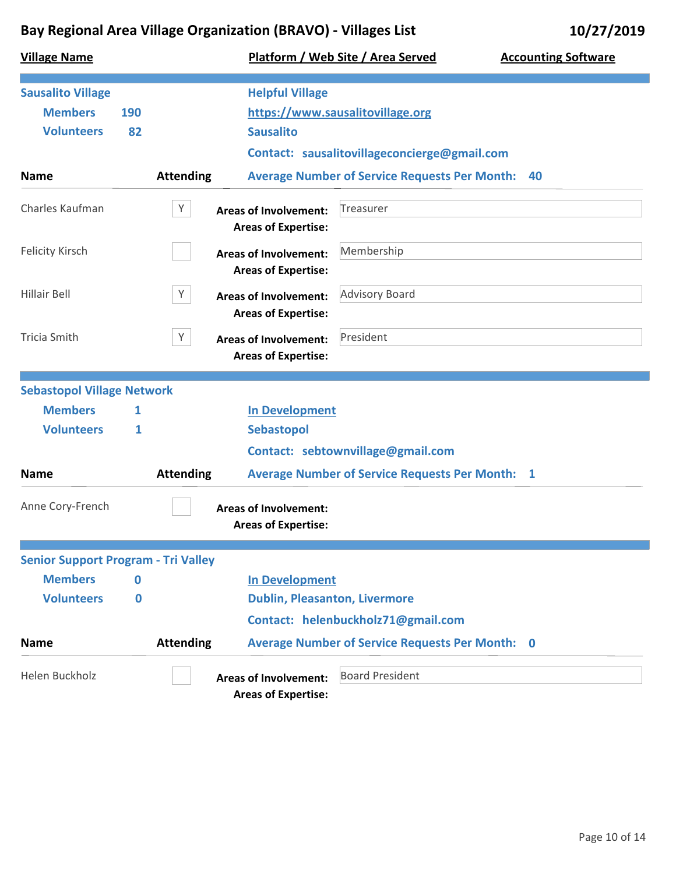| <b>Village Name</b>                        |     |                  |                                                            | Platform / Web Site / Area Served                      | <b>Accounting Software</b> |
|--------------------------------------------|-----|------------------|------------------------------------------------------------|--------------------------------------------------------|----------------------------|
| <b>Sausalito Village</b>                   |     |                  | <b>Helpful Village</b>                                     |                                                        |                            |
| <b>Members</b>                             | 190 |                  |                                                            | https://www.sausalitovillage.org                       |                            |
| <b>Volunteers</b>                          | 82  |                  | <b>Sausalito</b>                                           |                                                        |                            |
|                                            |     |                  |                                                            | Contact: sausalitovillageconcierge@gmail.com           |                            |
| <b>Name</b>                                |     | <b>Attending</b> |                                                            | <b>Average Number of Service Requests Per Month:</b>   | 40                         |
| Charles Kaufman                            |     | Y                | <b>Areas of Involvement:</b><br><b>Areas of Expertise:</b> | <b>Treasurer</b>                                       |                            |
| <b>Felicity Kirsch</b>                     |     |                  | <b>Areas of Involvement:</b><br><b>Areas of Expertise:</b> | Membership                                             |                            |
| Hillair Bell                               |     | Y                | <b>Areas of Involvement:</b><br><b>Areas of Expertise:</b> | <b>Advisory Board</b>                                  |                            |
| <b>Tricia Smith</b>                        |     | Y                | <b>Areas of Involvement:</b><br><b>Areas of Expertise:</b> | President                                              |                            |
| <b>Sebastopol Village Network</b>          |     |                  |                                                            |                                                        |                            |
| <b>Members</b>                             | 1   |                  | <b>In Development</b>                                      |                                                        |                            |
| <b>Volunteers</b>                          | 1   |                  | <b>Sebastopol</b>                                          |                                                        |                            |
|                                            |     |                  |                                                            | Contact: sebtownvillage@gmail.com                      |                            |
| <b>Name</b>                                |     | <b>Attending</b> |                                                            | <b>Average Number of Service Requests Per Month: 1</b> |                            |
| Anne Cory-French                           |     |                  | <b>Areas of Involvement:</b><br><b>Areas of Expertise:</b> |                                                        |                            |
| <b>Senior Support Program - Tri Valley</b> |     |                  |                                                            |                                                        |                            |
| <b>Members</b>                             | 0   |                  | <b>In Development</b>                                      |                                                        |                            |
| <b>Volunteers</b>                          | 0   |                  | <b>Dublin, Pleasanton, Livermore</b>                       |                                                        |                            |
|                                            |     |                  |                                                            | Contact: helenbuckholz71@gmail.com                     |                            |
| <b>Name</b>                                |     | <b>Attending</b> |                                                            | <b>Average Number of Service Requests Per Month: 0</b> |                            |
| Helen Buckholz                             |     |                  | <b>Areas of Involvement:</b><br><b>Areas of Expertise:</b> | <b>Board President</b>                                 |                            |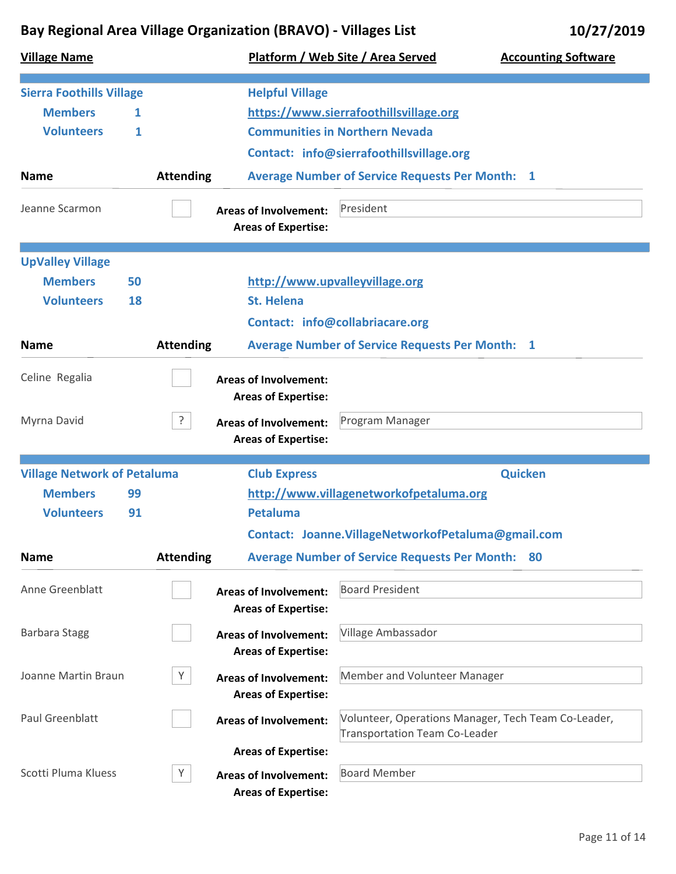| <b>Village Name</b>                                                    |         |                  |                                                            | Platform / Web Site / Area Served                                                           | <b>Accounting Software</b> |
|------------------------------------------------------------------------|---------|------------------|------------------------------------------------------------|---------------------------------------------------------------------------------------------|----------------------------|
| <b>Sierra Foothills Village</b><br><b>Members</b><br><b>Volunteers</b> | 1.<br>1 |                  | <b>Helpful Village</b>                                     | https://www.sierrafoothillsvillage.org<br><b>Communities in Northern Nevada</b>             |                            |
|                                                                        |         |                  |                                                            | Contact: info@sierrafoothillsvillage.org                                                    |                            |
| <b>Name</b>                                                            |         | <b>Attending</b> |                                                            | <b>Average Number of Service Requests Per Month: 1</b>                                      |                            |
| Jeanne Scarmon                                                         |         |                  | <b>Areas of Involvement:</b><br><b>Areas of Expertise:</b> | President                                                                                   |                            |
| <b>UpValley Village</b>                                                |         |                  |                                                            |                                                                                             |                            |
| <b>Members</b>                                                         | 50      |                  |                                                            | http://www.upvalleyvillage.org                                                              |                            |
| <b>Volunteers</b>                                                      | 18      |                  | <b>St. Helena</b>                                          |                                                                                             |                            |
|                                                                        |         |                  |                                                            | <b>Contact: info@collabriacare.org</b>                                                      |                            |
| <b>Name</b>                                                            |         | <b>Attending</b> |                                                            | <b>Average Number of Service Requests Per Month: 1</b>                                      |                            |
| Celine Regalia                                                         |         |                  | <b>Areas of Involvement:</b><br><b>Areas of Expertise:</b> |                                                                                             |                            |
| Myrna David                                                            |         | ?                | <b>Areas of Involvement:</b><br><b>Areas of Expertise:</b> | Program Manager                                                                             |                            |
| <b>Village Network of Petaluma</b>                                     |         |                  | <b>Club Express</b>                                        |                                                                                             | <b>Quicken</b>             |
| <b>Members</b>                                                         | 99      |                  |                                                            | http://www.villagenetworkofpetaluma.org                                                     |                            |
| <b>Volunteers</b>                                                      | 91      |                  | <b>Petaluma</b>                                            |                                                                                             |                            |
|                                                                        |         |                  |                                                            | Contact: Joanne.VillageNetworkofPetaluma@gmail.com                                          |                            |
| <b>Name</b>                                                            |         | <b>Attending</b> |                                                            | <b>Average Number of Service Requests Per Month:</b>                                        | 80                         |
| Anne Greenblatt                                                        |         |                  | <b>Areas of Involvement:</b><br><b>Areas of Expertise:</b> | <b>Board President</b>                                                                      |                            |
| <b>Barbara Stagg</b>                                                   |         |                  | <b>Areas of Involvement:</b><br><b>Areas of Expertise:</b> | Village Ambassador                                                                          |                            |
| Joanne Martin Braun                                                    |         | Υ                | <b>Areas of Involvement:</b><br><b>Areas of Expertise:</b> | Member and Volunteer Manager                                                                |                            |
| <b>Paul Greenblatt</b>                                                 |         |                  | <b>Areas of Involvement:</b>                               | Volunteer, Operations Manager, Tech Team Co-Leader,<br><b>Transportation Team Co-Leader</b> |                            |
|                                                                        |         |                  | <b>Areas of Expertise:</b>                                 |                                                                                             |                            |
| Scotti Pluma Kluess                                                    |         | Y                | <b>Areas of Involvement:</b><br><b>Areas of Expertise:</b> | <b>Board Member</b>                                                                         |                            |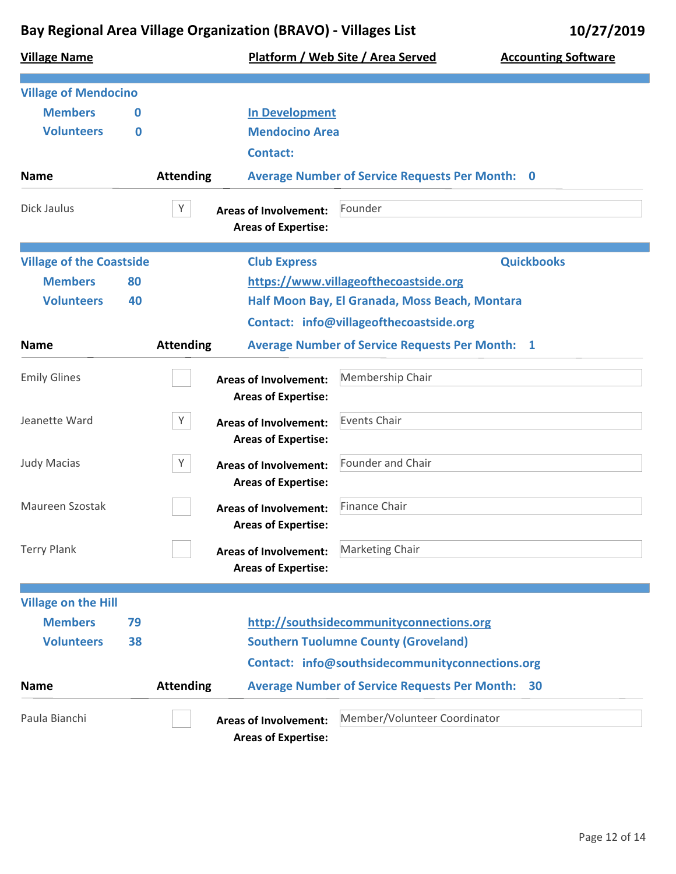**Village Name Platform / Web Site / Area Served Accounting Software Village of Mendocino Name In Development Mendocino Area Members Volunteers 0 0 Attending Average Number of Service Requests Per Month: 0 Contact:** Dick Jaulus **X Areas of Involvement:** Founder **Areas of Expertise: Village of the Coastside Club Express Name https://www.villageofthecoastside.org Half Moon Bay, El Granada, Moss Beach, Montara Quickbooks Members Volunteers 80 40 Attending Average Number of Service Requests Per Month: 1 Contact: info@villageofthecoastside.org** Emily Glines **Membership Chair Areas of Involvement:** Membership Chair **Areas of Expertise:** Jeanette Ward **Y Areas of Involvement:** Events Chair **Areas of Expertise:** Judy Macias **Macias Company Study Areas of Involvement:** Founder and Chair **Areas of Expertise:** Maureen Szostak **Finance Chair Areas of Involvement:** Finance Chair **Areas of Expertise:** Terry Plank **Marketing Chair Areas of Involvement:** Marketing Chair **Areas of Expertise: Village on the Hill Name http://southsidecommunityconnections.org Southern Tuolumne County (Groveland) Members Volunteers 79 38 Attending Average Number of Service Requests Per Month: 30 Contact: info@southsidecommunityconnections.org**

> **Areas of Expertise: Areas of Involvement:**

Paula Bianchi **Areas of Involvement:** Member/Volunteer Coordinator

Page 12 of 14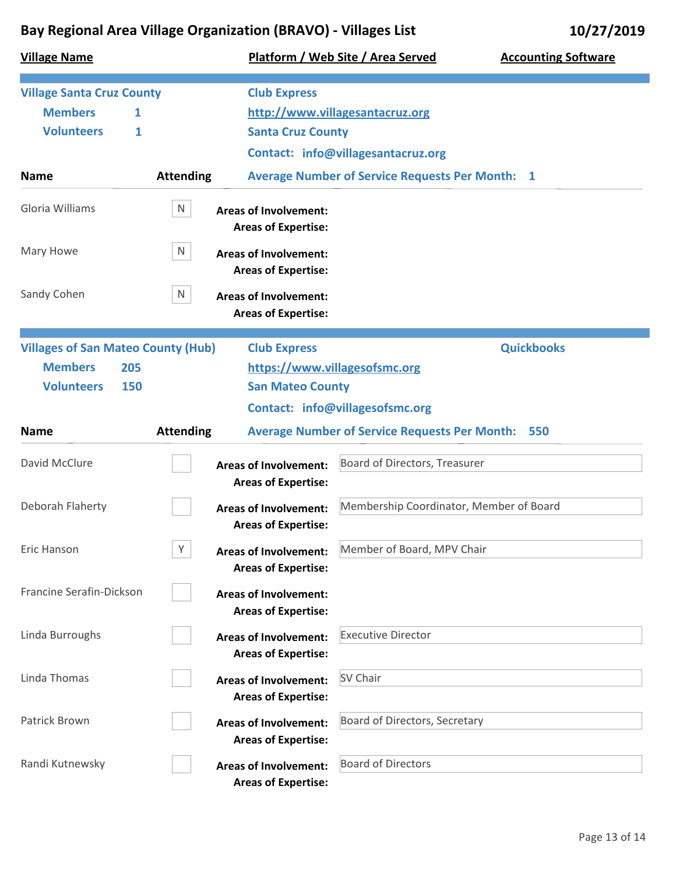| <b>Village Name</b>                       |                                                                 | Platform / Web Site / Area Served<br><b>Accounting Software</b> |
|-------------------------------------------|-----------------------------------------------------------------|-----------------------------------------------------------------|
| <b>Village Santa Cruz County</b>          | <b>Club Express</b>                                             |                                                                 |
| <b>Members</b><br>1                       |                                                                 | http://www.villagesantacruz.org                                 |
| <b>Volunteers</b><br>1                    | <b>Santa Cruz County</b>                                        |                                                                 |
|                                           |                                                                 | Contact: info@villagesantacruz.org                              |
| <b>Name</b>                               | <b>Attending</b>                                                | <b>Average Number of Service Requests Per Month: 1</b>          |
| Gloria Williams                           | N<br><b>Areas of Involvement:</b><br><b>Areas of Expertise:</b> |                                                                 |
| Mary Howe                                 | N<br><b>Areas of Involvement:</b><br><b>Areas of Expertise:</b> |                                                                 |
| Sandy Cohen                               | N<br><b>Areas of Involvement:</b><br><b>Areas of Expertise:</b> |                                                                 |
| <b>Villages of San Mateo County (Hub)</b> | <b>Club Express</b>                                             | <b>Quickbooks</b>                                               |
| <b>Members</b><br>205                     |                                                                 | https://www.villagesofsmc.org                                   |
| <b>Volunteers</b><br>150                  | <b>San Mateo County</b>                                         |                                                                 |
|                                           |                                                                 | Contact: info@villagesofsmc.org                                 |
| <b>Name</b>                               | <b>Attending</b>                                                | <b>Average Number of Service Requests Per Month:</b><br>550     |
| David McClure                             | <b>Areas of Involvement:</b><br><b>Areas of Expertise:</b>      | Board of Directors, Treasurer                                   |
| Deborah Flaherty                          | <b>Areas of Involvement:</b><br><b>Areas of Expertise:</b>      | Membership Coordinator, Member of Board                         |
| Eric Hanson                               | Υ<br><b>Areas of Involvement:</b><br><b>Areas of Expertise:</b> | Member of Board, MPV Chair                                      |
| Francine Serafin-Dickson                  | <b>Areas of Involvement:</b><br><b>Areas of Expertise:</b>      |                                                                 |
| Linda Burroughs                           | <b>Areas of Involvement:</b><br><b>Areas of Expertise:</b>      | <b>Executive Director</b>                                       |
| Linda Thomas                              | <b>Areas of Involvement:</b><br><b>Areas of Expertise:</b>      | SV Chair                                                        |
| Patrick Brown                             | <b>Areas of Involvement:</b><br><b>Areas of Expertise:</b>      | Board of Directors, Secretary                                   |
| Randi Kutnewsky                           | <b>Areas of Involvement:</b><br><b>Areas of Expertise:</b>      | <b>Board of Directors</b>                                       |